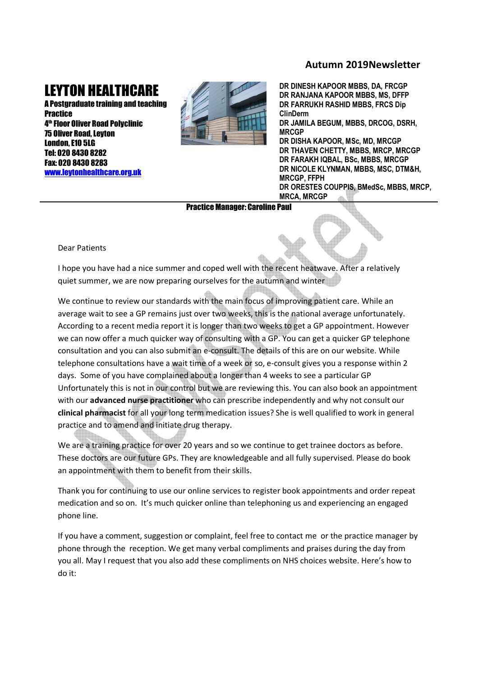## **Autumn 2019Newsletter**

## LEYTON HEALTHCARE

A Postgraduate training and teaching **Practice** 4 th Floor Oliver Road Polyclinic 75 Oliver Road, Leyton London, E10 5LG Tel: 020 8430 8282 Fax: 020 8430 8283 www.leytonhealthcare.org.uk



**DR DINESH KAPOOR MBBS, DA, FRCGP DR RANJANA KAPOOR MBBS, MS, DFFP DR FARRUKH RASHID MBBS, FRCS Dip ClinDerm DR JAMILA BEGUM, MBBS, DRCOG, DSRH, MRCGP DR DISHA KAPOOR, MSc, MD, MRCGP DR THAVEN CHETTY, MBBS, MRCP, MRCGP DR FARAKH IQBAL, BSc, MBBS, MRCGP DR NICOLE KLYNMAN, MBBS, MSC, DTM&H, MRCGP, FFPH DR ORESTES COUPPIS, BMedSc, MBBS, MRCP, MRCA, MRCGP**

Practice Manager: Caroline Paul

Dear Patients

I hope you have had a nice summer and coped well with the recent heatwave. After a relatively quiet summer, we are now preparing ourselves for the autumn and winter

We continue to review our standards with the main focus of improving patient care. While an average wait to see a GP remains just over two weeks, this is the national average unfortunately. According to a recent media report it is longer than two weeks to get a GP appointment. However we can now offer a much quicker way of consulting with a GP. You can get a quicker GP telephone consultation and you can also submit an e-consult. The details of this are on our website. While telephone consultations have a wait time of a week or so, e-consult gives you a response within 2 days. Some of you have complained about a longer than 4 weeks to see a particular GP Unfortunately this is not in our control but we are reviewing this. You can also book an appointment with our **advanced nurse practitioner** who can prescribe independently and why not consult our **clinical pharmacist** for all your long term medication issues? She is well qualified to work in general practice and to amend and initiate drug therapy.

We are a training practice for over 20 years and so we continue to get trainee doctors as before. These doctors are our future GPs. They are knowledgeable and all fully supervised. Please do book an appointment with them to benefit from their skills.

Thank you for continuing to use our online services to register book appointments and order repeat medication and so on. It's much quicker online than telephoning us and experiencing an engaged phone line.

If you have a comment, suggestion or complaint, feel free to contact me or the practice manager by phone through the reception. We get many verbal compliments and praises during the day from you all. May I request that you also add these compliments on NHS choices website. Here's how to do it: